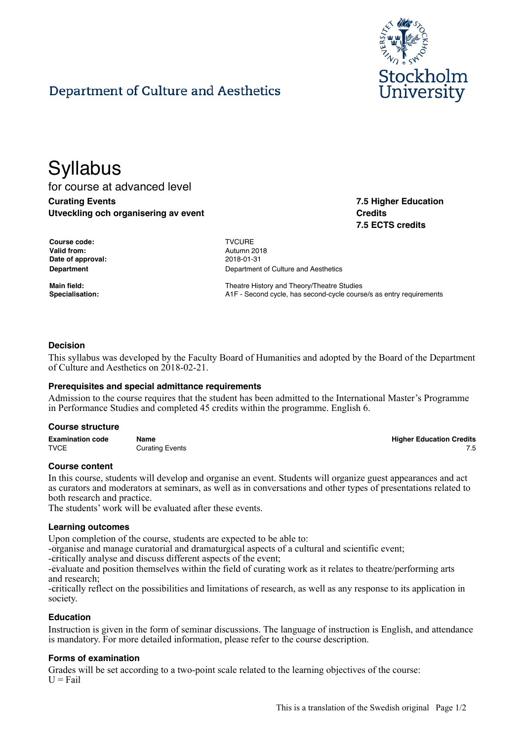

# Department of Culture and Aesthetics

# **Syllabus** for course at advanced level **Curating Events Utveckling och organisering av event**

**7.5 Higher Education Credits 7.5 ECTS credits**

**Higher Education Credits** 

| Course code:      |
|-------------------|
| Valid from:       |
| Date of approval: |
| Department        |

**Course code:** TVCURE **Valid from:** Autumn 2018 **Date of approval:** 2018-01-31 **Department of Culture and Aesthetics** 

**Main field:** Theatre History and Theory/Theatre Studies **Specialisation:** A1F - Second cycle, has second-cycle course/s as entry requirements

## **Decision**

This syllabus was developed by the Faculty Board of Humanities and adopted by the Board of the Department of Culture and Aesthetics on 2018-02-21.

#### **Prerequisites and special admittance requirements**

Admission to the course requires that the student has been admitted to the International Master's Programme in Performance Studies and completed 45 credits within the programme. English 6.

#### **Course structure**

| <b>Examination code</b> | Name            | <b>Higher Education Credits</b> |
|-------------------------|-----------------|---------------------------------|
| TVCE                    | Curating Events |                                 |

**Course content**

In this course, students will develop and organise an event. Students will organize guest appearances and act as curators and moderators at seminars, as well as in conversations and other types of presentations related to both research and practice.

The students' work will be evaluated after these events.

#### **Learning outcomes**

Upon completion of the course, students are expected to be able to:

- $\delta$ rganise and manage curatorial and dramaturgical aspects of a cultural and scientific event;

-critically analyse and discuss different aspects of the event;

-evaluate and position themselves within the field of curating work as it relates to theatre/performing arts and research;

-critically reflect on the possibilities and limitations of research, as well as any response to its application in society.

#### **Education**

Instruction is given in the form of seminar discussions. The language of instruction is English, and attendance is mandatory. For more detailed information, please refer to the course description.

### **Forms of examination**

Grades will be set according to a two-point scale related to the learning objectives of the course:  $U = Fail$